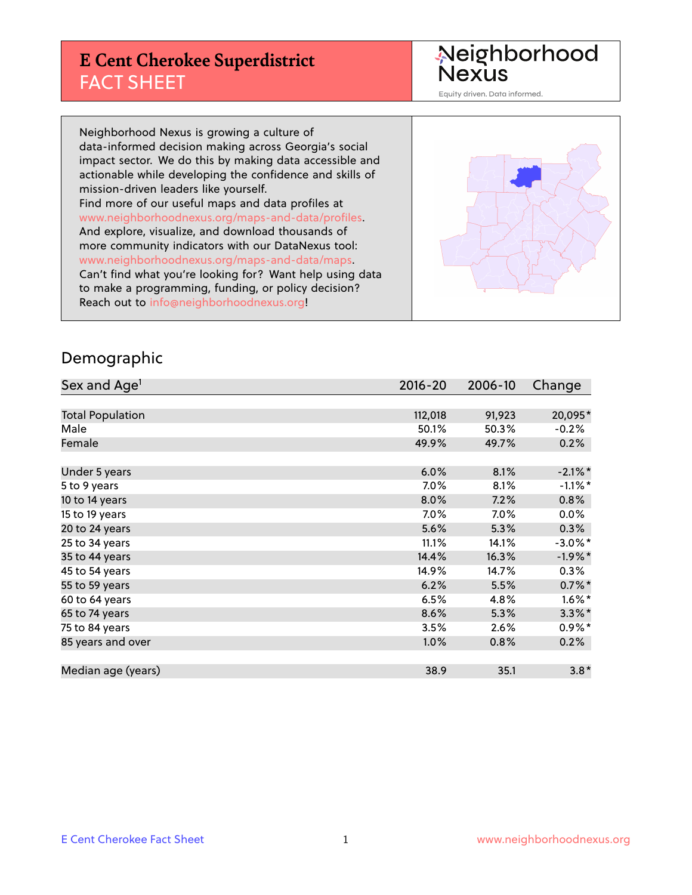#### **E Cent Cherokee Superdistrict** FACT SHEET



Equity driven. Data informed.

Neighborhood Nexus is growing a culture of data-informed decision making across Georgia's social impact sector. We do this by making data accessible and actionable while developing the confidence and skills of mission-driven leaders like yourself. Find more of our useful maps and data profiles at www.neighborhoodnexus.org/maps-and-data/profiles. And explore, visualize, and download thousands of more community indicators with our DataNexus tool: www.neighborhoodnexus.org/maps-and-data/maps. Can't find what you're looking for? Want help using data to make a programming, funding, or policy decision? Reach out to [info@neighborhoodnexus.org!](mailto:info@neighborhoodnexus.org)



#### Demographic

| Sex and Age <sup>1</sup> | $2016 - 20$ | 2006-10 | Change     |
|--------------------------|-------------|---------|------------|
|                          |             |         |            |
| <b>Total Population</b>  | 112,018     | 91,923  | 20,095*    |
| Male                     | 50.1%       | 50.3%   | $-0.2%$    |
| Female                   | 49.9%       | 49.7%   | 0.2%       |
|                          |             |         |            |
| Under 5 years            | 6.0%        | 8.1%    | $-2.1\%$ * |
| 5 to 9 years             | 7.0%        | 8.1%    | $-1.1\%$ * |
| 10 to 14 years           | 8.0%        | 7.2%    | $0.8\%$    |
| 15 to 19 years           | 7.0%        | $7.0\%$ | $0.0\%$    |
| 20 to 24 years           | 5.6%        | 5.3%    | 0.3%       |
| 25 to 34 years           | 11.1%       | 14.1%   | $-3.0\%$ * |
| 35 to 44 years           | 14.4%       | 16.3%   | $-1.9%$ *  |
| 45 to 54 years           | 14.9%       | 14.7%   | 0.3%       |
| 55 to 59 years           | 6.2%        | 5.5%    | $0.7\%$ *  |
| 60 to 64 years           | 6.5%        | 4.8%    | $1.6\%$ *  |
| 65 to 74 years           | 8.6%        | 5.3%    | $3.3\%$ *  |
| 75 to 84 years           | 3.5%        | 2.6%    | $0.9\%$ *  |
| 85 years and over        | 1.0%        | 0.8%    | 0.2%       |
|                          |             |         |            |
| Median age (years)       | 38.9        | 35.1    | $3.8*$     |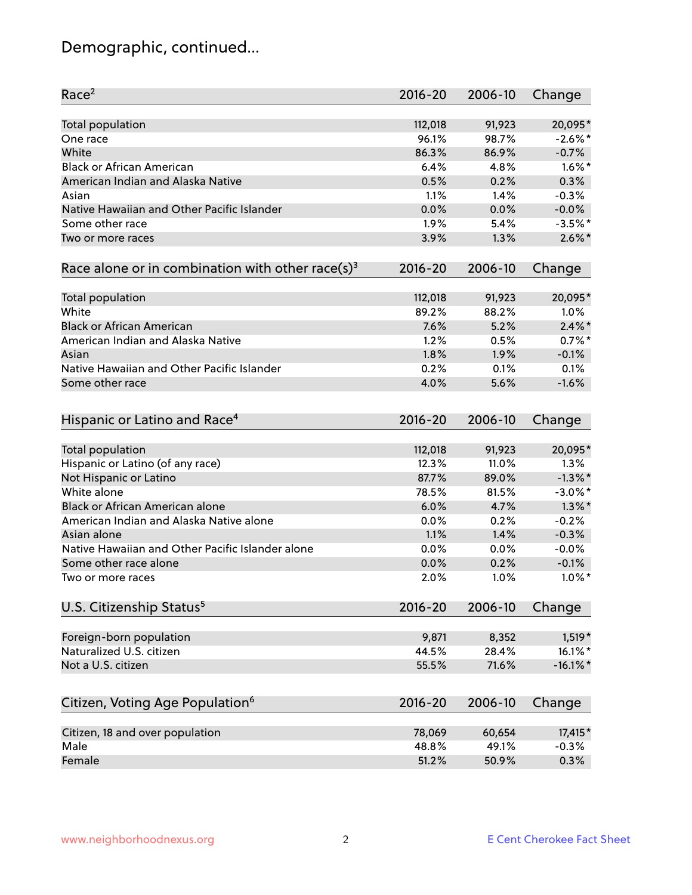# Demographic, continued...

| Race <sup>2</sup>                                            | $2016 - 20$ | 2006-10 | Change      |
|--------------------------------------------------------------|-------------|---------|-------------|
| Total population                                             | 112,018     | 91,923  | 20,095*     |
| One race                                                     | 96.1%       | 98.7%   | $-2.6\%$ *  |
| White                                                        | 86.3%       | 86.9%   | $-0.7%$     |
| <b>Black or African American</b>                             | 6.4%        | 4.8%    | $1.6\%$ *   |
| American Indian and Alaska Native                            | 0.5%        | 0.2%    | 0.3%        |
| Asian                                                        | 1.1%        | 1.4%    | $-0.3%$     |
| Native Hawaiian and Other Pacific Islander                   | 0.0%        | 0.0%    | $-0.0%$     |
| Some other race                                              | 1.9%        | 5.4%    | $-3.5%$ *   |
| Two or more races                                            | 3.9%        | 1.3%    | $2.6\%$ *   |
| Race alone or in combination with other race(s) <sup>3</sup> | $2016 - 20$ | 2006-10 | Change      |
|                                                              |             |         |             |
| Total population                                             | 112,018     | 91,923  | 20,095*     |
| White                                                        | 89.2%       | 88.2%   | 1.0%        |
| <b>Black or African American</b>                             | 7.6%        | 5.2%    | $2.4\%$ *   |
| American Indian and Alaska Native                            | 1.2%        | 0.5%    | $0.7%$ *    |
| Asian                                                        | 1.8%        | 1.9%    | $-0.1%$     |
| Native Hawaiian and Other Pacific Islander                   | 0.2%        | 0.1%    | 0.1%        |
| Some other race                                              | 4.0%        | 5.6%    | $-1.6%$     |
|                                                              |             |         |             |
| Hispanic or Latino and Race <sup>4</sup>                     | $2016 - 20$ | 2006-10 | Change      |
|                                                              |             |         |             |
| Total population                                             | 112,018     | 91,923  | 20,095*     |
| Hispanic or Latino (of any race)                             | 12.3%       | 11.0%   | 1.3%        |
| Not Hispanic or Latino                                       | 87.7%       | 89.0%   | $-1.3\%$ *  |
| White alone                                                  | 78.5%       | 81.5%   | $-3.0\%$ *  |
| Black or African American alone                              | 6.0%        | 4.7%    | $1.3\%$ *   |
| American Indian and Alaska Native alone                      | 0.0%        | 0.2%    | $-0.2%$     |
| Asian alone                                                  | 1.1%        | 1.4%    | $-0.3%$     |
| Native Hawaiian and Other Pacific Islander alone             | 0.0%        | 0.0%    | $-0.0%$     |
| Some other race alone                                        | 0.0%        | 0.2%    | $-0.1%$     |
| Two or more races                                            | 2.0%        | 1.0%    | $1.0\%$ *   |
| U.S. Citizenship Status <sup>5</sup>                         | $2016 - 20$ | 2006-10 | Change      |
|                                                              |             |         |             |
| Foreign-born population                                      | 9,871       | 8,352   | $1,519*$    |
| Naturalized U.S. citizen                                     | 44.5%       | 28.4%   | $16.1\%$ *  |
| Not a U.S. citizen                                           | 55.5%       | 71.6%   | $-16.1\%$ * |
| Citizen, Voting Age Population <sup>6</sup>                  | $2016 - 20$ | 2006-10 | Change      |
| Citizen, 18 and over population                              | 78,069      | 60,654  | 17,415*     |
| Male                                                         | 48.8%       | 49.1%   | $-0.3%$     |
| Female                                                       | 51.2%       | 50.9%   | 0.3%        |
|                                                              |             |         |             |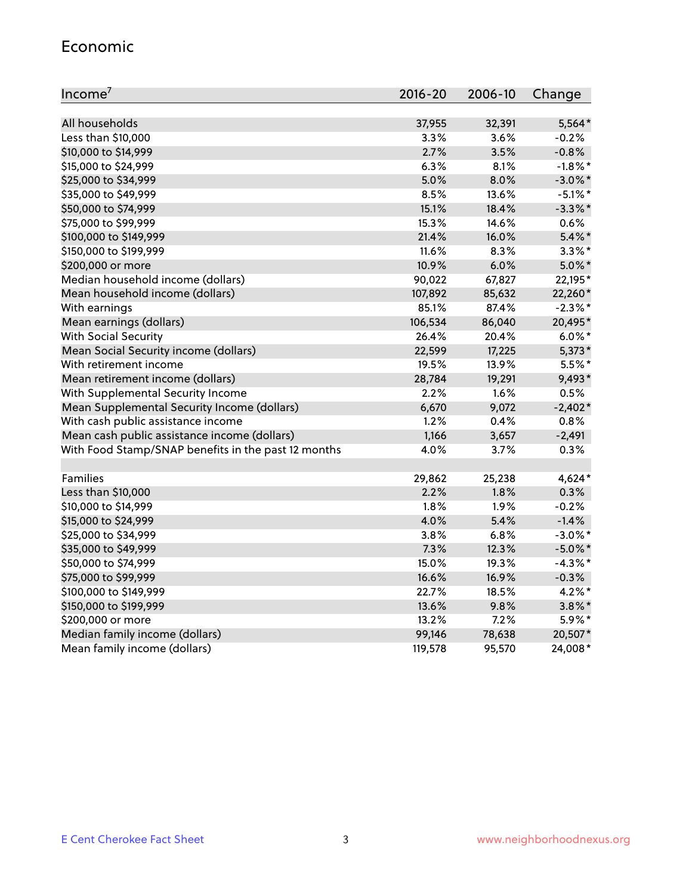#### Economic

| Income <sup>7</sup>                                 | 2016-20 | 2006-10 | Change     |
|-----------------------------------------------------|---------|---------|------------|
|                                                     |         |         |            |
| All households                                      | 37,955  | 32,391  | $5,564*$   |
| Less than \$10,000                                  | 3.3%    | 3.6%    | $-0.2%$    |
| \$10,000 to \$14,999                                | 2.7%    | 3.5%    | $-0.8%$    |
| \$15,000 to \$24,999                                | 6.3%    | 8.1%    | $-1.8\%$ * |
| \$25,000 to \$34,999                                | 5.0%    | 8.0%    | $-3.0\%$ * |
| \$35,000 to \$49,999                                | 8.5%    | 13.6%   | $-5.1\%$ * |
| \$50,000 to \$74,999                                | 15.1%   | 18.4%   | $-3.3\%$ * |
| \$75,000 to \$99,999                                | 15.3%   | 14.6%   | 0.6%       |
| \$100,000 to \$149,999                              | 21.4%   | 16.0%   | $5.4\%$ *  |
| \$150,000 to \$199,999                              | 11.6%   | 8.3%    | $3.3\%$ *  |
| \$200,000 or more                                   | 10.9%   | 6.0%    | $5.0\%$ *  |
| Median household income (dollars)                   | 90,022  | 67,827  | 22,195*    |
| Mean household income (dollars)                     | 107,892 | 85,632  | 22,260*    |
| With earnings                                       | 85.1%   | 87.4%   | $-2.3\%$ * |
| Mean earnings (dollars)                             | 106,534 | 86,040  | 20,495*    |
| <b>With Social Security</b>                         | 26.4%   | 20.4%   | $6.0\%$ *  |
| Mean Social Security income (dollars)               | 22,599  | 17,225  | $5,373*$   |
| With retirement income                              | 19.5%   | 13.9%   | $5.5%$ *   |
| Mean retirement income (dollars)                    | 28,784  | 19,291  | 9,493*     |
| With Supplemental Security Income                   | 2.2%    | 1.6%    | 0.5%       |
| Mean Supplemental Security Income (dollars)         | 6,670   | 9,072   | $-2,402*$  |
| With cash public assistance income                  | 1.2%    | 0.4%    | 0.8%       |
| Mean cash public assistance income (dollars)        | 1,166   | 3,657   | $-2,491$   |
| With Food Stamp/SNAP benefits in the past 12 months | 4.0%    | 3.7%    | 0.3%       |
|                                                     |         |         |            |
| Families                                            | 29,862  | 25,238  | $4,624*$   |
| Less than \$10,000                                  | 2.2%    | 1.8%    | 0.3%       |
| \$10,000 to \$14,999                                | 1.8%    | 1.9%    | $-0.2%$    |
| \$15,000 to \$24,999                                | 4.0%    | 5.4%    | $-1.4%$    |
| \$25,000 to \$34,999                                | 3.8%    | 6.8%    | $-3.0\%$ * |
| \$35,000 to \$49,999                                | 7.3%    | 12.3%   | $-5.0\%$ * |
| \$50,000 to \$74,999                                | 15.0%   | 19.3%   | $-4.3\%$ * |
| \$75,000 to \$99,999                                | 16.6%   | 16.9%   | $-0.3%$    |
| \$100,000 to \$149,999                              | 22.7%   | 18.5%   | $4.2\%$ *  |
| \$150,000 to \$199,999                              | 13.6%   | 9.8%    | $3.8\%$ *  |
| \$200,000 or more                                   | 13.2%   | 7.2%    | 5.9%*      |
| Median family income (dollars)                      | 99,146  | 78,638  | 20,507*    |
| Mean family income (dollars)                        | 119,578 | 95,570  | 24,008*    |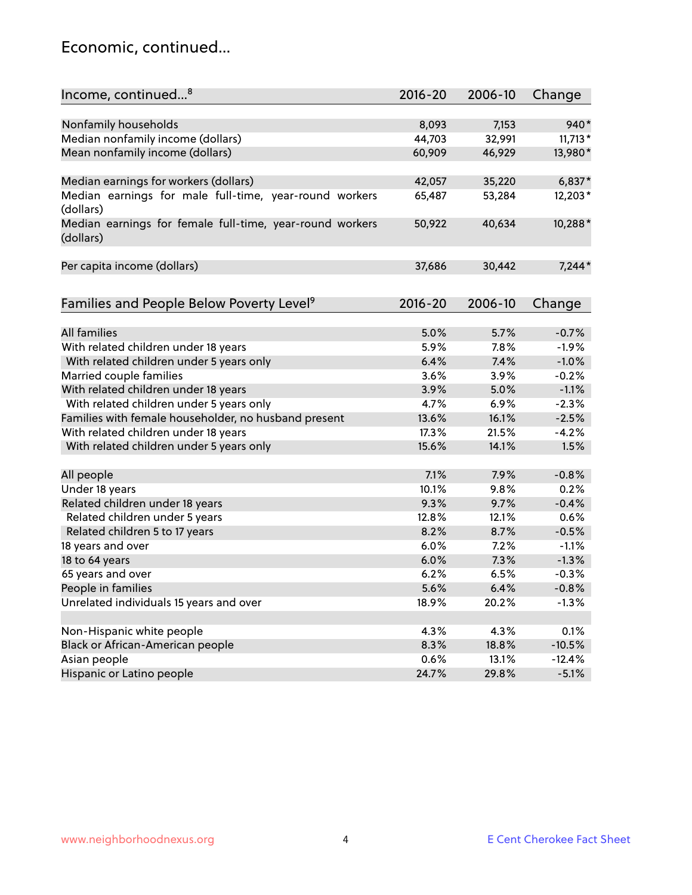#### Economic, continued...

| Nonfamily households<br>8,093<br>7,153<br>940*<br>Median nonfamily income (dollars)<br>44,703<br>$11,713*$<br>32,991<br>Mean nonfamily income (dollars)<br>60,909<br>46,929<br>13,980*<br>Median earnings for workers (dollars)<br>42,057<br>35,220<br>$6,837*$<br>Median earnings for male full-time, year-round workers<br>53,284<br>12,203*<br>65,487<br>(dollars)<br>10,288*<br>Median earnings for female full-time, year-round workers<br>50,922<br>40,634<br>(dollars)<br>Per capita income (dollars)<br>37,686<br>30,442<br>$7,244*$<br>Families and People Below Poverty Level <sup>9</sup><br>$2016 - 20$<br>2006-10<br>Change<br><b>All families</b><br>5.0%<br>5.7%<br>$-0.7%$<br>With related children under 18 years<br>5.9%<br>7.8%<br>$-1.9%$<br>With related children under 5 years only<br>6.4%<br>7.4%<br>$-1.0%$<br>Married couple families<br>3.6%<br>$-0.2%$<br>3.9%<br>With related children under 18 years<br>$-1.1%$<br>3.9%<br>5.0%<br>With related children under 5 years only<br>4.7%<br>6.9%<br>$-2.3%$<br>Families with female householder, no husband present<br>13.6%<br>16.1%<br>$-2.5%$<br>With related children under 18 years<br>17.3%<br>21.5%<br>$-4.2%$<br>With related children under 5 years only<br>15.6%<br>14.1%<br>1.5%<br>All people<br>7.1%<br>7.9%<br>$-0.8%$<br>Under 18 years<br>10.1%<br>9.8%<br>0.2%<br>Related children under 18 years<br>9.3%<br>$-0.4%$<br>9.7%<br>Related children under 5 years<br>12.8%<br>12.1%<br>0.6%<br>Related children 5 to 17 years<br>8.2%<br>8.7%<br>$-0.5%$<br>18 years and over<br>6.0%<br>7.2%<br>$-1.1%$<br>18 to 64 years<br>6.0%<br>$-1.3%$<br>7.3%<br>65 years and over<br>6.2%<br>6.5%<br>$-0.3%$<br>People in families<br>5.6%<br>6.4%<br>$-0.8%$<br>Unrelated individuals 15 years and over<br>18.9%<br>20.2%<br>$-1.3%$<br>Non-Hispanic white people<br>4.3%<br>4.3%<br>0.1%<br>Black or African-American people<br>$-10.5%$<br>8.3%<br>18.8% | Income, continued <sup>8</sup> | $2016 - 20$ | 2006-10 | Change   |
|---------------------------------------------------------------------------------------------------------------------------------------------------------------------------------------------------------------------------------------------------------------------------------------------------------------------------------------------------------------------------------------------------------------------------------------------------------------------------------------------------------------------------------------------------------------------------------------------------------------------------------------------------------------------------------------------------------------------------------------------------------------------------------------------------------------------------------------------------------------------------------------------------------------------------------------------------------------------------------------------------------------------------------------------------------------------------------------------------------------------------------------------------------------------------------------------------------------------------------------------------------------------------------------------------------------------------------------------------------------------------------------------------------------------------------------------------------------------------------------------------------------------------------------------------------------------------------------------------------------------------------------------------------------------------------------------------------------------------------------------------------------------------------------------------------------------------------------------------------------------------------------------------------------------------------------------|--------------------------------|-------------|---------|----------|
|                                                                                                                                                                                                                                                                                                                                                                                                                                                                                                                                                                                                                                                                                                                                                                                                                                                                                                                                                                                                                                                                                                                                                                                                                                                                                                                                                                                                                                                                                                                                                                                                                                                                                                                                                                                                                                                                                                                                             |                                |             |         |          |
|                                                                                                                                                                                                                                                                                                                                                                                                                                                                                                                                                                                                                                                                                                                                                                                                                                                                                                                                                                                                                                                                                                                                                                                                                                                                                                                                                                                                                                                                                                                                                                                                                                                                                                                                                                                                                                                                                                                                             |                                |             |         |          |
|                                                                                                                                                                                                                                                                                                                                                                                                                                                                                                                                                                                                                                                                                                                                                                                                                                                                                                                                                                                                                                                                                                                                                                                                                                                                                                                                                                                                                                                                                                                                                                                                                                                                                                                                                                                                                                                                                                                                             |                                |             |         |          |
|                                                                                                                                                                                                                                                                                                                                                                                                                                                                                                                                                                                                                                                                                                                                                                                                                                                                                                                                                                                                                                                                                                                                                                                                                                                                                                                                                                                                                                                                                                                                                                                                                                                                                                                                                                                                                                                                                                                                             |                                |             |         |          |
|                                                                                                                                                                                                                                                                                                                                                                                                                                                                                                                                                                                                                                                                                                                                                                                                                                                                                                                                                                                                                                                                                                                                                                                                                                                                                                                                                                                                                                                                                                                                                                                                                                                                                                                                                                                                                                                                                                                                             |                                |             |         |          |
|                                                                                                                                                                                                                                                                                                                                                                                                                                                                                                                                                                                                                                                                                                                                                                                                                                                                                                                                                                                                                                                                                                                                                                                                                                                                                                                                                                                                                                                                                                                                                                                                                                                                                                                                                                                                                                                                                                                                             |                                |             |         |          |
|                                                                                                                                                                                                                                                                                                                                                                                                                                                                                                                                                                                                                                                                                                                                                                                                                                                                                                                                                                                                                                                                                                                                                                                                                                                                                                                                                                                                                                                                                                                                                                                                                                                                                                                                                                                                                                                                                                                                             |                                |             |         |          |
|                                                                                                                                                                                                                                                                                                                                                                                                                                                                                                                                                                                                                                                                                                                                                                                                                                                                                                                                                                                                                                                                                                                                                                                                                                                                                                                                                                                                                                                                                                                                                                                                                                                                                                                                                                                                                                                                                                                                             |                                |             |         |          |
|                                                                                                                                                                                                                                                                                                                                                                                                                                                                                                                                                                                                                                                                                                                                                                                                                                                                                                                                                                                                                                                                                                                                                                                                                                                                                                                                                                                                                                                                                                                                                                                                                                                                                                                                                                                                                                                                                                                                             |                                |             |         |          |
|                                                                                                                                                                                                                                                                                                                                                                                                                                                                                                                                                                                                                                                                                                                                                                                                                                                                                                                                                                                                                                                                                                                                                                                                                                                                                                                                                                                                                                                                                                                                                                                                                                                                                                                                                                                                                                                                                                                                             |                                |             |         |          |
|                                                                                                                                                                                                                                                                                                                                                                                                                                                                                                                                                                                                                                                                                                                                                                                                                                                                                                                                                                                                                                                                                                                                                                                                                                                                                                                                                                                                                                                                                                                                                                                                                                                                                                                                                                                                                                                                                                                                             |                                |             |         |          |
|                                                                                                                                                                                                                                                                                                                                                                                                                                                                                                                                                                                                                                                                                                                                                                                                                                                                                                                                                                                                                                                                                                                                                                                                                                                                                                                                                                                                                                                                                                                                                                                                                                                                                                                                                                                                                                                                                                                                             |                                |             |         |          |
|                                                                                                                                                                                                                                                                                                                                                                                                                                                                                                                                                                                                                                                                                                                                                                                                                                                                                                                                                                                                                                                                                                                                                                                                                                                                                                                                                                                                                                                                                                                                                                                                                                                                                                                                                                                                                                                                                                                                             |                                |             |         |          |
|                                                                                                                                                                                                                                                                                                                                                                                                                                                                                                                                                                                                                                                                                                                                                                                                                                                                                                                                                                                                                                                                                                                                                                                                                                                                                                                                                                                                                                                                                                                                                                                                                                                                                                                                                                                                                                                                                                                                             |                                |             |         |          |
|                                                                                                                                                                                                                                                                                                                                                                                                                                                                                                                                                                                                                                                                                                                                                                                                                                                                                                                                                                                                                                                                                                                                                                                                                                                                                                                                                                                                                                                                                                                                                                                                                                                                                                                                                                                                                                                                                                                                             |                                |             |         |          |
|                                                                                                                                                                                                                                                                                                                                                                                                                                                                                                                                                                                                                                                                                                                                                                                                                                                                                                                                                                                                                                                                                                                                                                                                                                                                                                                                                                                                                                                                                                                                                                                                                                                                                                                                                                                                                                                                                                                                             |                                |             |         |          |
|                                                                                                                                                                                                                                                                                                                                                                                                                                                                                                                                                                                                                                                                                                                                                                                                                                                                                                                                                                                                                                                                                                                                                                                                                                                                                                                                                                                                                                                                                                                                                                                                                                                                                                                                                                                                                                                                                                                                             |                                |             |         |          |
|                                                                                                                                                                                                                                                                                                                                                                                                                                                                                                                                                                                                                                                                                                                                                                                                                                                                                                                                                                                                                                                                                                                                                                                                                                                                                                                                                                                                                                                                                                                                                                                                                                                                                                                                                                                                                                                                                                                                             |                                |             |         |          |
|                                                                                                                                                                                                                                                                                                                                                                                                                                                                                                                                                                                                                                                                                                                                                                                                                                                                                                                                                                                                                                                                                                                                                                                                                                                                                                                                                                                                                                                                                                                                                                                                                                                                                                                                                                                                                                                                                                                                             |                                |             |         |          |
|                                                                                                                                                                                                                                                                                                                                                                                                                                                                                                                                                                                                                                                                                                                                                                                                                                                                                                                                                                                                                                                                                                                                                                                                                                                                                                                                                                                                                                                                                                                                                                                                                                                                                                                                                                                                                                                                                                                                             |                                |             |         |          |
|                                                                                                                                                                                                                                                                                                                                                                                                                                                                                                                                                                                                                                                                                                                                                                                                                                                                                                                                                                                                                                                                                                                                                                                                                                                                                                                                                                                                                                                                                                                                                                                                                                                                                                                                                                                                                                                                                                                                             |                                |             |         |          |
|                                                                                                                                                                                                                                                                                                                                                                                                                                                                                                                                                                                                                                                                                                                                                                                                                                                                                                                                                                                                                                                                                                                                                                                                                                                                                                                                                                                                                                                                                                                                                                                                                                                                                                                                                                                                                                                                                                                                             |                                |             |         |          |
|                                                                                                                                                                                                                                                                                                                                                                                                                                                                                                                                                                                                                                                                                                                                                                                                                                                                                                                                                                                                                                                                                                                                                                                                                                                                                                                                                                                                                                                                                                                                                                                                                                                                                                                                                                                                                                                                                                                                             |                                |             |         |          |
|                                                                                                                                                                                                                                                                                                                                                                                                                                                                                                                                                                                                                                                                                                                                                                                                                                                                                                                                                                                                                                                                                                                                                                                                                                                                                                                                                                                                                                                                                                                                                                                                                                                                                                                                                                                                                                                                                                                                             |                                |             |         |          |
|                                                                                                                                                                                                                                                                                                                                                                                                                                                                                                                                                                                                                                                                                                                                                                                                                                                                                                                                                                                                                                                                                                                                                                                                                                                                                                                                                                                                                                                                                                                                                                                                                                                                                                                                                                                                                                                                                                                                             |                                |             |         |          |
|                                                                                                                                                                                                                                                                                                                                                                                                                                                                                                                                                                                                                                                                                                                                                                                                                                                                                                                                                                                                                                                                                                                                                                                                                                                                                                                                                                                                                                                                                                                                                                                                                                                                                                                                                                                                                                                                                                                                             |                                |             |         |          |
|                                                                                                                                                                                                                                                                                                                                                                                                                                                                                                                                                                                                                                                                                                                                                                                                                                                                                                                                                                                                                                                                                                                                                                                                                                                                                                                                                                                                                                                                                                                                                                                                                                                                                                                                                                                                                                                                                                                                             |                                |             |         |          |
|                                                                                                                                                                                                                                                                                                                                                                                                                                                                                                                                                                                                                                                                                                                                                                                                                                                                                                                                                                                                                                                                                                                                                                                                                                                                                                                                                                                                                                                                                                                                                                                                                                                                                                                                                                                                                                                                                                                                             |                                |             |         |          |
|                                                                                                                                                                                                                                                                                                                                                                                                                                                                                                                                                                                                                                                                                                                                                                                                                                                                                                                                                                                                                                                                                                                                                                                                                                                                                                                                                                                                                                                                                                                                                                                                                                                                                                                                                                                                                                                                                                                                             |                                |             |         |          |
|                                                                                                                                                                                                                                                                                                                                                                                                                                                                                                                                                                                                                                                                                                                                                                                                                                                                                                                                                                                                                                                                                                                                                                                                                                                                                                                                                                                                                                                                                                                                                                                                                                                                                                                                                                                                                                                                                                                                             |                                |             |         |          |
|                                                                                                                                                                                                                                                                                                                                                                                                                                                                                                                                                                                                                                                                                                                                                                                                                                                                                                                                                                                                                                                                                                                                                                                                                                                                                                                                                                                                                                                                                                                                                                                                                                                                                                                                                                                                                                                                                                                                             |                                |             |         |          |
|                                                                                                                                                                                                                                                                                                                                                                                                                                                                                                                                                                                                                                                                                                                                                                                                                                                                                                                                                                                                                                                                                                                                                                                                                                                                                                                                                                                                                                                                                                                                                                                                                                                                                                                                                                                                                                                                                                                                             |                                |             |         |          |
|                                                                                                                                                                                                                                                                                                                                                                                                                                                                                                                                                                                                                                                                                                                                                                                                                                                                                                                                                                                                                                                                                                                                                                                                                                                                                                                                                                                                                                                                                                                                                                                                                                                                                                                                                                                                                                                                                                                                             |                                |             |         |          |
|                                                                                                                                                                                                                                                                                                                                                                                                                                                                                                                                                                                                                                                                                                                                                                                                                                                                                                                                                                                                                                                                                                                                                                                                                                                                                                                                                                                                                                                                                                                                                                                                                                                                                                                                                                                                                                                                                                                                             |                                |             |         |          |
|                                                                                                                                                                                                                                                                                                                                                                                                                                                                                                                                                                                                                                                                                                                                                                                                                                                                                                                                                                                                                                                                                                                                                                                                                                                                                                                                                                                                                                                                                                                                                                                                                                                                                                                                                                                                                                                                                                                                             |                                |             |         |          |
|                                                                                                                                                                                                                                                                                                                                                                                                                                                                                                                                                                                                                                                                                                                                                                                                                                                                                                                                                                                                                                                                                                                                                                                                                                                                                                                                                                                                                                                                                                                                                                                                                                                                                                                                                                                                                                                                                                                                             |                                |             |         |          |
|                                                                                                                                                                                                                                                                                                                                                                                                                                                                                                                                                                                                                                                                                                                                                                                                                                                                                                                                                                                                                                                                                                                                                                                                                                                                                                                                                                                                                                                                                                                                                                                                                                                                                                                                                                                                                                                                                                                                             |                                |             |         |          |
|                                                                                                                                                                                                                                                                                                                                                                                                                                                                                                                                                                                                                                                                                                                                                                                                                                                                                                                                                                                                                                                                                                                                                                                                                                                                                                                                                                                                                                                                                                                                                                                                                                                                                                                                                                                                                                                                                                                                             |                                |             |         |          |
|                                                                                                                                                                                                                                                                                                                                                                                                                                                                                                                                                                                                                                                                                                                                                                                                                                                                                                                                                                                                                                                                                                                                                                                                                                                                                                                                                                                                                                                                                                                                                                                                                                                                                                                                                                                                                                                                                                                                             | Asian people                   | 0.6%        | 13.1%   | $-12.4%$ |
| Hispanic or Latino people<br>24.7%<br>$-5.1%$<br>29.8%                                                                                                                                                                                                                                                                                                                                                                                                                                                                                                                                                                                                                                                                                                                                                                                                                                                                                                                                                                                                                                                                                                                                                                                                                                                                                                                                                                                                                                                                                                                                                                                                                                                                                                                                                                                                                                                                                      |                                |             |         |          |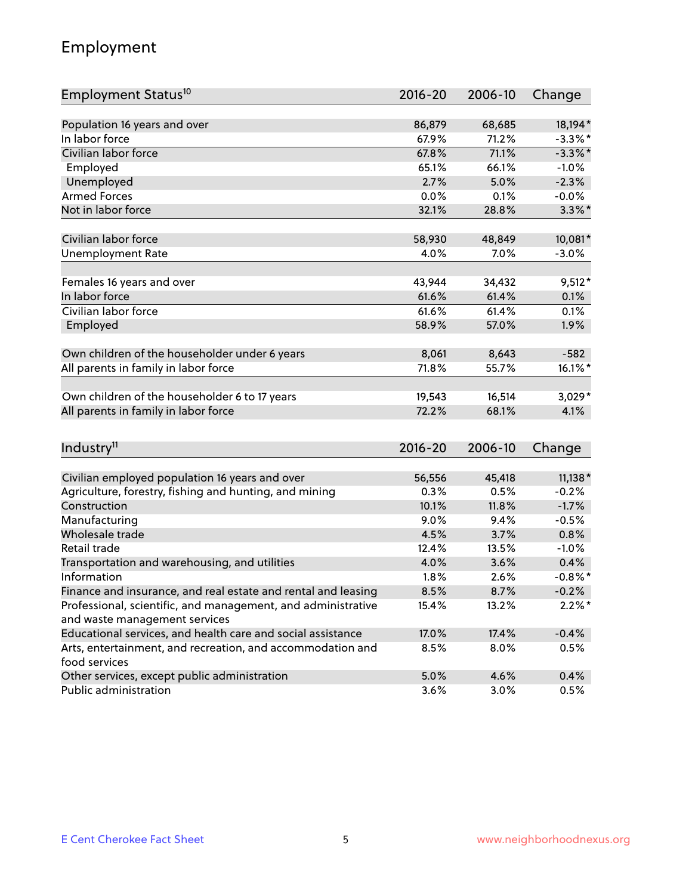## Employment

| Employment Status <sup>10</sup>                                                               | $2016 - 20$ | 2006-10 | Change          |
|-----------------------------------------------------------------------------------------------|-------------|---------|-----------------|
|                                                                                               |             |         |                 |
| Population 16 years and over                                                                  | 86,879      | 68,685  | 18,194*         |
| In labor force                                                                                | 67.9%       | 71.2%   | $-3.3\%$ *      |
| Civilian labor force                                                                          | 67.8%       | 71.1%   | $-3.3\%$ *      |
| Employed                                                                                      | 65.1%       | 66.1%   | $-1.0%$         |
| Unemployed                                                                                    | 2.7%        | 5.0%    | $-2.3%$         |
| <b>Armed Forces</b>                                                                           | 0.0%        | 0.1%    | $-0.0%$         |
| Not in labor force                                                                            | 32.1%       | 28.8%   | $3.3\%$ *       |
| Civilian labor force                                                                          | 58,930      | 48,849  | 10,081*         |
| <b>Unemployment Rate</b>                                                                      | 4.0%        | $7.0\%$ | $-3.0%$         |
|                                                                                               |             |         |                 |
| Females 16 years and over                                                                     | 43,944      | 34,432  | $9,512*$        |
| In labor force                                                                                | 61.6%       | 61.4%   | 0.1%            |
| Civilian labor force                                                                          | 61.6%       | 61.4%   | 0.1%            |
| Employed                                                                                      | 58.9%       | 57.0%   | 1.9%            |
| Own children of the householder under 6 years                                                 | 8,061       | 8,643   | $-582$          |
| All parents in family in labor force                                                          | 71.8%       | 55.7%   | 16.1%*          |
|                                                                                               |             |         |                 |
| Own children of the householder 6 to 17 years                                                 | 19,543      | 16,514  | $3,029*$        |
| All parents in family in labor force                                                          | 72.2%       | 68.1%   | 4.1%            |
|                                                                                               |             |         |                 |
| Industry <sup>11</sup>                                                                        | $2016 - 20$ | 2006-10 | Change          |
|                                                                                               |             |         |                 |
| Civilian employed population 16 years and over                                                | 56,556      | 45,418  | $11,138*$       |
| Agriculture, forestry, fishing and hunting, and mining                                        | 0.3%        | 0.5%    | $-0.2%$         |
| Construction                                                                                  | 10.1%       | 11.8%   | $-1.7%$         |
| Manufacturing                                                                                 | 9.0%        | 9.4%    | $-0.5%$         |
| Wholesale trade                                                                               | 4.5%        | 3.7%    | 0.8%            |
| Retail trade                                                                                  | 12.4%       | 13.5%   | $-1.0%$<br>0.4% |
| Transportation and warehousing, and utilities<br>Information                                  | 4.0%        | 3.6%    | $-0.8\%$ *      |
|                                                                                               | 1.8%        | 2.6%    |                 |
| Finance and insurance, and real estate and rental and leasing                                 | 8.5%        | 8.7%    | $-0.2%$         |
| Professional, scientific, and management, and administrative<br>and waste management services | 15.4%       | 13.2%   | $2.2\%$ *       |
| Educational services, and health care and social assistance                                   | 17.0%       | 17.4%   | $-0.4%$         |
| Arts, entertainment, and recreation, and accommodation and                                    | 8.5%        | 8.0%    | 0.5%            |
| food services                                                                                 |             |         |                 |
| Other services, except public administration                                                  | 5.0%        | 4.6%    | 0.4%            |
| Public administration                                                                         | 3.6%        | 3.0%    | 0.5%            |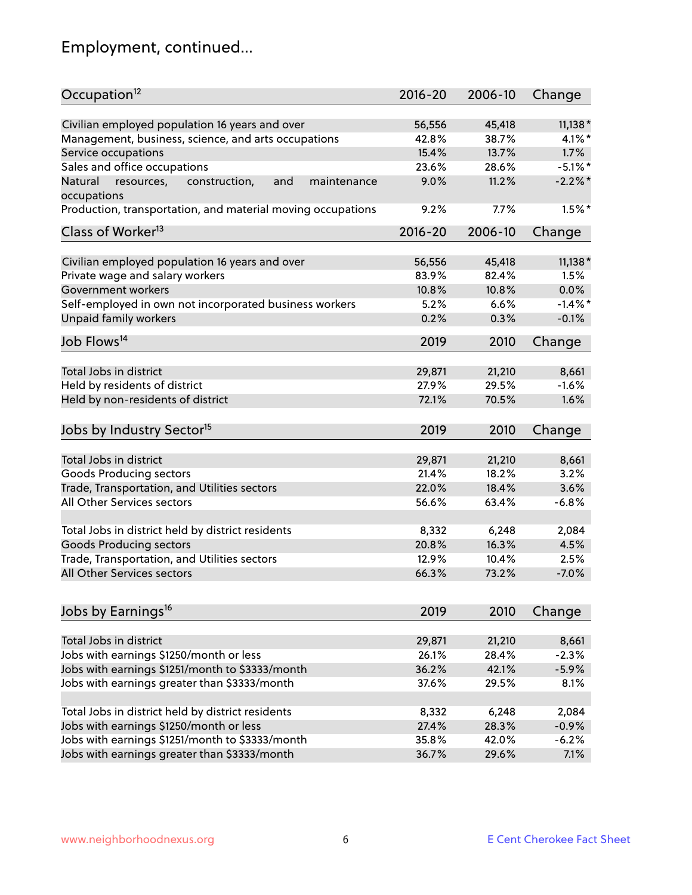# Employment, continued...

| Occupation <sup>12</sup>                                                    | $2016 - 20$ | 2006-10 | Change     |
|-----------------------------------------------------------------------------|-------------|---------|------------|
| Civilian employed population 16 years and over                              | 56,556      | 45,418  | $11,138*$  |
| Management, business, science, and arts occupations                         | 42.8%       | 38.7%   | $4.1\%$ *  |
| Service occupations                                                         | 15.4%       | 13.7%   | 1.7%       |
| Sales and office occupations                                                | 23.6%       | 28.6%   | $-5.1\%$ * |
|                                                                             |             |         | $-2.2\%$ * |
| Natural<br>and<br>resources,<br>construction,<br>maintenance<br>occupations | 9.0%        | 11.2%   |            |
| Production, transportation, and material moving occupations                 | 9.2%        | 7.7%    | $1.5%$ *   |
| Class of Worker <sup>13</sup>                                               | $2016 - 20$ | 2006-10 | Change     |
|                                                                             |             |         |            |
| Civilian employed population 16 years and over                              | 56,556      | 45,418  | $11,138*$  |
| Private wage and salary workers                                             | 83.9%       | 82.4%   | 1.5%       |
| Government workers                                                          | 10.8%       | 10.8%   | 0.0%       |
| Self-employed in own not incorporated business workers                      | 5.2%        | 6.6%    | $-1.4%$    |
| Unpaid family workers                                                       | 0.2%        | 0.3%    | $-0.1%$    |
| Job Flows <sup>14</sup>                                                     | 2019        | 2010    | Change     |
|                                                                             |             |         |            |
| Total Jobs in district                                                      | 29,871      | 21,210  | 8,661      |
| Held by residents of district                                               | 27.9%       | 29.5%   | $-1.6%$    |
| Held by non-residents of district                                           | 72.1%       | 70.5%   | 1.6%       |
| Jobs by Industry Sector <sup>15</sup>                                       | 2019        | 2010    | Change     |
|                                                                             |             |         |            |
| Total Jobs in district                                                      | 29,871      | 21,210  | 8,661      |
| Goods Producing sectors                                                     | 21.4%       | 18.2%   | 3.2%       |
| Trade, Transportation, and Utilities sectors                                | 22.0%       | 18.4%   | 3.6%       |
| All Other Services sectors                                                  | 56.6%       | 63.4%   | $-6.8%$    |
| Total Jobs in district held by district residents                           | 8,332       | 6,248   | 2,084      |
| <b>Goods Producing sectors</b>                                              | 20.8%       | 16.3%   | 4.5%       |
| Trade, Transportation, and Utilities sectors                                | 12.9%       | 10.4%   | 2.5%       |
| All Other Services sectors                                                  | 66.3%       | 73.2%   | $-7.0%$    |
|                                                                             |             |         |            |
| Jobs by Earnings <sup>16</sup>                                              | 2019        | 2010    | Change     |
|                                                                             |             |         |            |
| Total Jobs in district                                                      | 29,871      | 21,210  | 8,661      |
| Jobs with earnings \$1250/month or less                                     | 26.1%       | 28.4%   | $-2.3%$    |
| Jobs with earnings \$1251/month to \$3333/month                             | 36.2%       | 42.1%   | $-5.9%$    |
| Jobs with earnings greater than \$3333/month                                | 37.6%       | 29.5%   | 8.1%       |
| Total Jobs in district held by district residents                           | 8,332       | 6,248   | 2,084      |
| Jobs with earnings \$1250/month or less                                     | 27.4%       | 28.3%   | $-0.9%$    |
| Jobs with earnings \$1251/month to \$3333/month                             | 35.8%       | 42.0%   | $-6.2%$    |
| Jobs with earnings greater than \$3333/month                                | 36.7%       | 29.6%   | 7.1%       |
|                                                                             |             |         |            |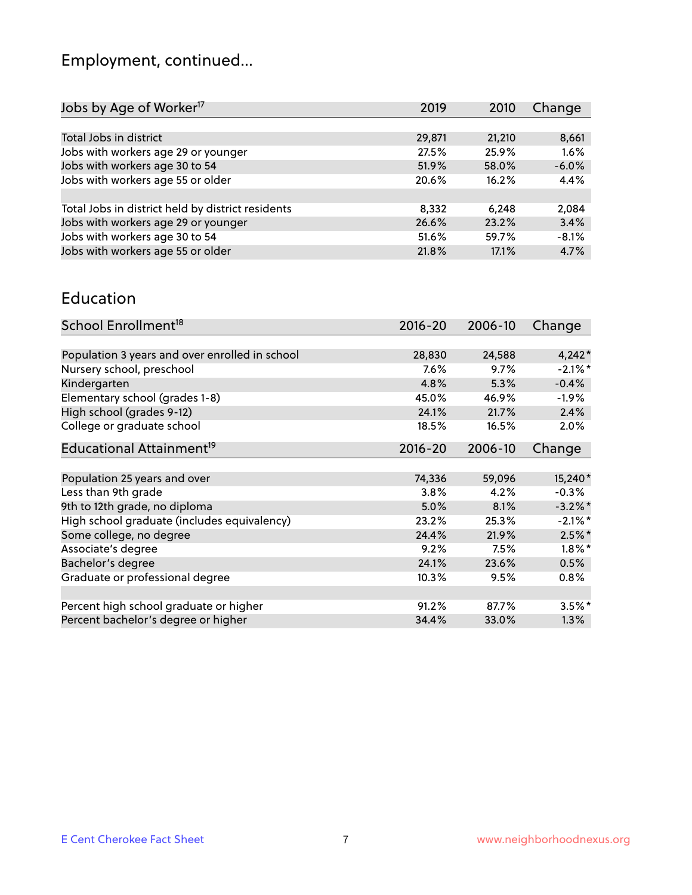# Employment, continued...

| Change  |
|---------|
|         |
| 8,661   |
| 1.6%    |
| $-6.0%$ |
| 4.4%    |
|         |
| 2,084   |
| 3.4%    |
| $-8.1%$ |
| 4.7%    |
|         |

#### Education

| School Enrollment <sup>18</sup>                | $2016 - 20$ | 2006-10 | Change     |
|------------------------------------------------|-------------|---------|------------|
|                                                |             |         |            |
| Population 3 years and over enrolled in school | 28,830      | 24,588  | $4,242*$   |
| Nursery school, preschool                      | $7.6\%$     | $9.7\%$ | $-2.1\%$ * |
| Kindergarten                                   | 4.8%        | 5.3%    | $-0.4%$    |
| Elementary school (grades 1-8)                 | 45.0%       | 46.9%   | $-1.9\%$   |
| High school (grades 9-12)                      | 24.1%       | 21.7%   | 2.4%       |
| College or graduate school                     | 18.5%       | 16.5%   | 2.0%       |
| Educational Attainment <sup>19</sup>           | $2016 - 20$ | 2006-10 | Change     |
|                                                |             |         |            |
| Population 25 years and over                   | 74,336      | 59,096  | 15,240*    |
| Less than 9th grade                            | 3.8%        | 4.2%    | $-0.3%$    |
| 9th to 12th grade, no diploma                  | 5.0%        | 8.1%    | $-3.2\%$ * |
| High school graduate (includes equivalency)    | 23.2%       | 25.3%   | $-2.1\%$ * |
| Some college, no degree                        | 24.4%       | 21.9%   | $2.5%$ *   |
| Associate's degree                             | 9.2%        | 7.5%    | $1.8\%$ *  |
| Bachelor's degree                              | 24.1%       | 23.6%   | 0.5%       |
| Graduate or professional degree                | 10.3%       | 9.5%    | 0.8%       |
|                                                |             |         |            |
| Percent high school graduate or higher         | 91.2%       | 87.7%   | $3.5%$ *   |
| Percent bachelor's degree or higher            | 34.4%       | 33.0%   | $1.3\%$    |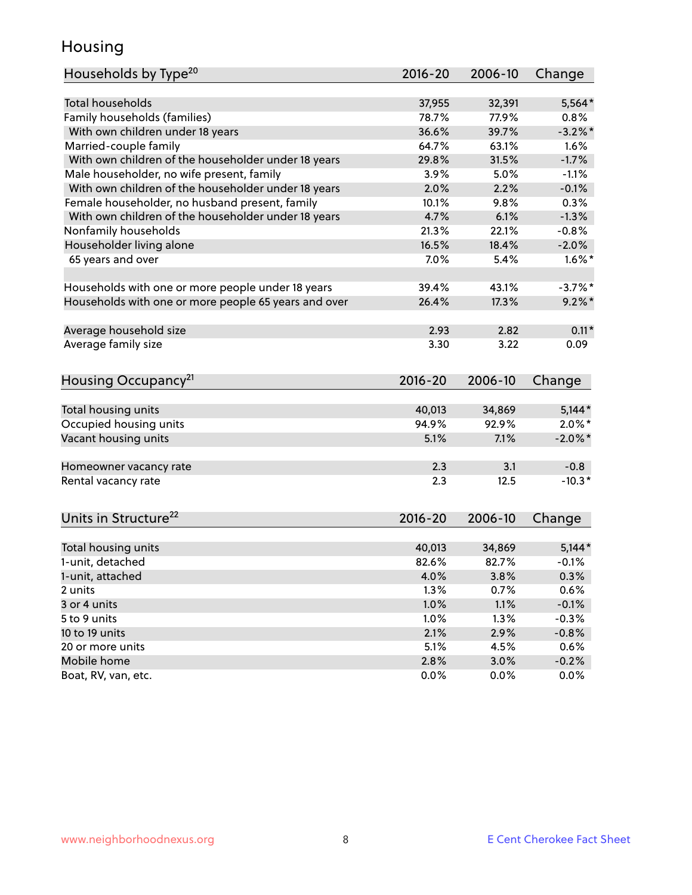## Housing

| Households by Type <sup>20</sup>                     | 2016-20 | 2006-10 | Change     |
|------------------------------------------------------|---------|---------|------------|
|                                                      |         |         |            |
| <b>Total households</b>                              | 37,955  | 32,391  | $5,564*$   |
| Family households (families)                         | 78.7%   | 77.9%   | 0.8%       |
| With own children under 18 years                     | 36.6%   | 39.7%   | $-3.2\%$ * |
| Married-couple family                                | 64.7%   | 63.1%   | 1.6%       |
| With own children of the householder under 18 years  | 29.8%   | 31.5%   | $-1.7%$    |
| Male householder, no wife present, family            | 3.9%    | 5.0%    | $-1.1%$    |
| With own children of the householder under 18 years  | 2.0%    | 2.2%    | $-0.1%$    |
| Female householder, no husband present, family       | 10.1%   | 9.8%    | 0.3%       |
| With own children of the householder under 18 years  | 4.7%    | 6.1%    | $-1.3%$    |
| Nonfamily households                                 | 21.3%   | 22.1%   | $-0.8%$    |
| Householder living alone                             | 16.5%   | 18.4%   | $-2.0%$    |
| 65 years and over                                    | 7.0%    | 5.4%    | $1.6\%$ *  |
|                                                      |         |         |            |
| Households with one or more people under 18 years    | 39.4%   | 43.1%   | $-3.7%$ *  |
| Households with one or more people 65 years and over | 26.4%   | 17.3%   | $9.2\%$ *  |
|                                                      |         |         |            |
| Average household size                               | 2.93    | 2.82    | $0.11*$    |
| Average family size                                  | 3.30    | 3.22    | 0.09       |
| Housing Occupancy <sup>21</sup>                      | 2016-20 | 2006-10 | Change     |
|                                                      |         |         |            |
| Total housing units                                  | 40,013  | 34,869  | $5,144*$   |
| Occupied housing units                               | 94.9%   | 92.9%   | $2.0\%$ *  |
| Vacant housing units                                 | 5.1%    | 7.1%    | $-2.0\%$ * |
|                                                      |         |         |            |
| Homeowner vacancy rate                               | 2.3     | 3.1     | $-0.8$     |
| Rental vacancy rate                                  | 2.3     | 12.5    | $-10.3*$   |
|                                                      |         |         |            |
| Units in Structure <sup>22</sup>                     | 2016-20 | 2006-10 | Change     |
| Total housing units                                  | 40,013  | 34,869  | $5,144*$   |
| 1-unit, detached                                     | 82.6%   | 82.7%   | $-0.1%$    |
| 1-unit, attached                                     | 4.0%    | 3.8%    | 0.3%       |
| 2 units                                              | 1.3%    | 0.7%    | 0.6%       |
| 3 or 4 units                                         | 1.0%    | 1.1%    | $-0.1%$    |
| 5 to 9 units                                         | 1.0%    | 1.3%    | $-0.3%$    |
| 10 to 19 units                                       | 2.1%    | 2.9%    | $-0.8%$    |
| 20 or more units                                     | 5.1%    | 4.5%    | 0.6%       |
| Mobile home                                          | 2.8%    | 3.0%    | $-0.2%$    |
|                                                      |         |         |            |
| Boat, RV, van, etc.                                  | 0.0%    | 0.0%    | $0.0\%$    |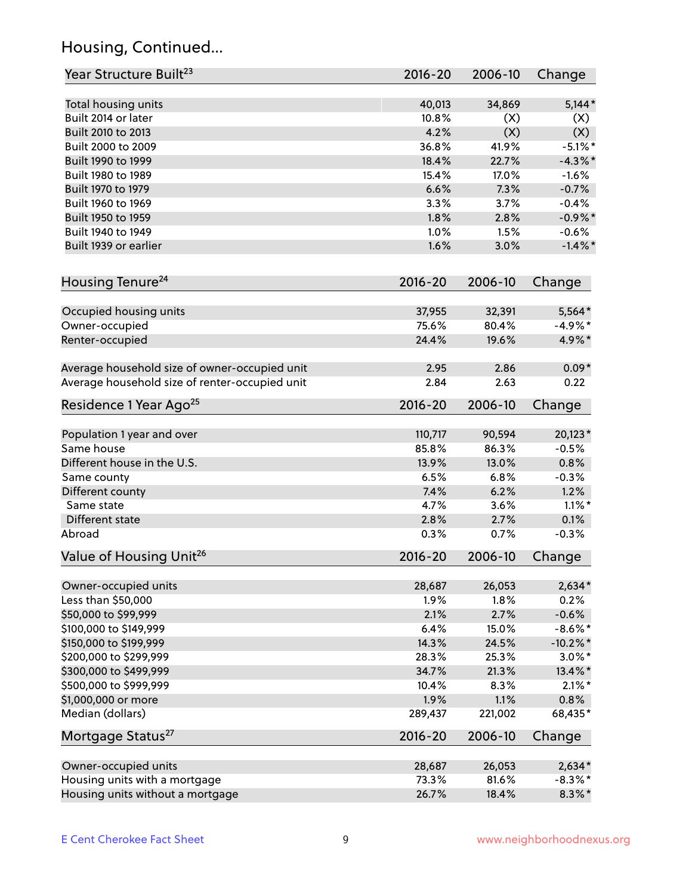## Housing, Continued...

| Year Structure Built <sup>23</sup>             | 2016-20     | 2006-10 | Change      |
|------------------------------------------------|-------------|---------|-------------|
| Total housing units                            | 40,013      | 34,869  | $5,144*$    |
| Built 2014 or later                            | 10.8%       | (X)     | (X)         |
| Built 2010 to 2013                             | 4.2%        | (X)     | (X)         |
| Built 2000 to 2009                             | 36.8%       | 41.9%   | $-5.1\%$ *  |
| Built 1990 to 1999                             | 18.4%       | 22.7%   | $-4.3\%$ *  |
| Built 1980 to 1989                             | 15.4%       | 17.0%   | $-1.6%$     |
| Built 1970 to 1979                             | 6.6%        | 7.3%    | $-0.7%$     |
| Built 1960 to 1969                             | 3.3%        | 3.7%    | $-0.4%$     |
| Built 1950 to 1959                             | 1.8%        | 2.8%    | $-0.9\%$ *  |
| Built 1940 to 1949                             | 1.0%        | 1.5%    | $-0.6%$     |
| Built 1939 or earlier                          | 1.6%        | 3.0%    | $-1.4\%$ *  |
|                                                |             |         |             |
| Housing Tenure <sup>24</sup>                   | $2016 - 20$ | 2006-10 | Change      |
| Occupied housing units                         | 37,955      | 32,391  | 5,564*      |
| Owner-occupied                                 | 75.6%       | 80.4%   | $-4.9\%$ *  |
| Renter-occupied                                | 24.4%       | 19.6%   | 4.9%*       |
| Average household size of owner-occupied unit  | 2.95        | 2.86    | $0.09*$     |
| Average household size of renter-occupied unit | 2.84        | 2.63    | 0.22        |
| Residence 1 Year Ago <sup>25</sup>             | $2016 - 20$ | 2006-10 | Change      |
|                                                |             |         |             |
| Population 1 year and over                     | 110,717     | 90,594  | $20,123*$   |
| Same house                                     | 85.8%       | 86.3%   | $-0.5%$     |
| Different house in the U.S.                    | 13.9%       | 13.0%   | 0.8%        |
| Same county                                    | 6.5%        | 6.8%    | $-0.3%$     |
| Different county                               | 7.4%        | 6.2%    | 1.2%        |
| Same state                                     | 4.7%        | 3.6%    | $1.1\%$ *   |
| Different state                                | 2.8%        | 2.7%    | 0.1%        |
| Abroad                                         | 0.3%        | 0.7%    | $-0.3%$     |
| Value of Housing Unit <sup>26</sup>            | $2016 - 20$ | 2006-10 | Change      |
| Owner-occupied units                           | 28,687      | 26,053  | $2,634*$    |
| Less than \$50,000                             | 1.9%        | 1.8%    | 0.2%        |
| \$50,000 to \$99,999                           | 2.1%        | 2.7%    | $-0.6%$     |
| \$100,000 to \$149,999                         | 6.4%        | 15.0%   | $-8.6\%$ *  |
| \$150,000 to \$199,999                         | 14.3%       | 24.5%   | $-10.2\%$ * |
| \$200,000 to \$299,999                         | 28.3%       | 25.3%   | $3.0\%$ *   |
| \$300,000 to \$499,999                         | 34.7%       | 21.3%   | 13.4%*      |
| \$500,000 to \$999,999                         | 10.4%       | 8.3%    | $2.1\%$ *   |
| \$1,000,000 or more                            | 1.9%        | 1.1%    | 0.8%        |
| Median (dollars)                               | 289,437     | 221,002 | 68,435*     |
| Mortgage Status <sup>27</sup>                  | $2016 - 20$ | 2006-10 | Change      |
| Owner-occupied units                           | 28,687      | 26,053  | $2,634*$    |
| Housing units with a mortgage                  | 73.3%       | 81.6%   | $-8.3\%$ *  |
| Housing units without a mortgage               | 26.7%       | 18.4%   | $8.3\%*$    |
|                                                |             |         |             |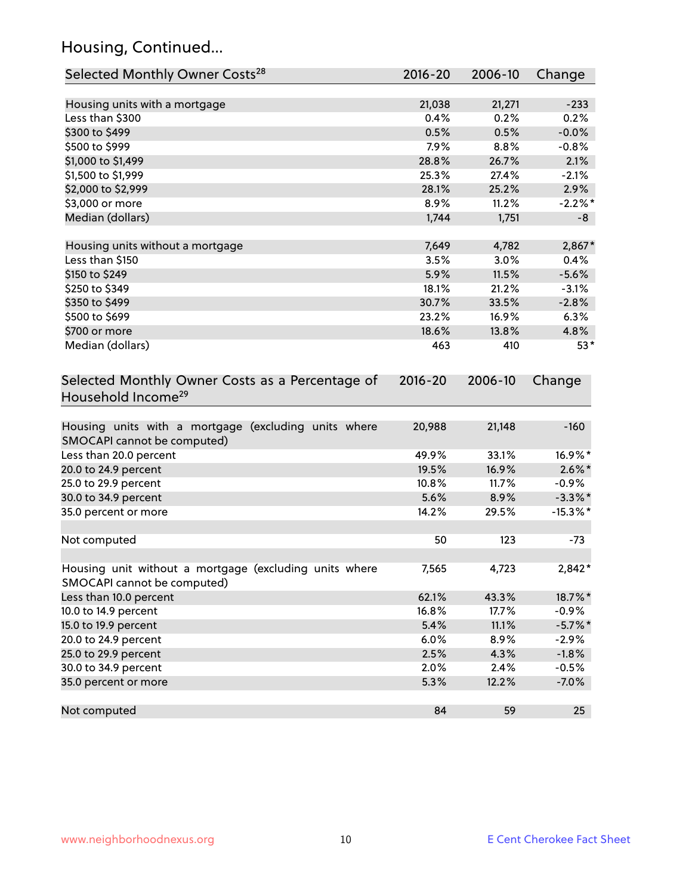## Housing, Continued...

| Selected Monthly Owner Costs <sup>28</sup>                                            | 2016-20 | 2006-10 | Change      |
|---------------------------------------------------------------------------------------|---------|---------|-------------|
| Housing units with a mortgage                                                         | 21,038  | 21,271  | $-233$      |
| Less than \$300                                                                       | 0.4%    | 0.2%    | 0.2%        |
| \$300 to \$499                                                                        | 0.5%    | 0.5%    | $-0.0%$     |
| \$500 to \$999                                                                        | 7.9%    | 8.8%    | $-0.8%$     |
| \$1,000 to \$1,499                                                                    | 28.8%   | 26.7%   | 2.1%        |
| \$1,500 to \$1,999                                                                    | 25.3%   | 27.4%   | $-2.1%$     |
| \$2,000 to \$2,999                                                                    | 28.1%   | 25.2%   | 2.9%        |
| \$3,000 or more                                                                       | 8.9%    | 11.2%   | $-2.2\%$ *  |
| Median (dollars)                                                                      | 1,744   | 1,751   | -8          |
|                                                                                       |         |         |             |
| Housing units without a mortgage                                                      | 7,649   | 4,782   | $2,867*$    |
| Less than \$150                                                                       | 3.5%    | 3.0%    | 0.4%        |
| \$150 to \$249                                                                        | 5.9%    | 11.5%   | $-5.6%$     |
| \$250 to \$349                                                                        | 18.1%   | 21.2%   | $-3.1%$     |
| \$350 to \$499                                                                        | 30.7%   | 33.5%   | $-2.8%$     |
| \$500 to \$699                                                                        | 23.2%   | 16.9%   | 6.3%        |
| \$700 or more                                                                         | 18.6%   | 13.8%   | 4.8%        |
| Median (dollars)                                                                      | 463     | 410     | $53*$       |
| Selected Monthly Owner Costs as a Percentage of<br>Household Income <sup>29</sup>     |         |         | Change      |
| Housing units with a mortgage (excluding units where<br>SMOCAPI cannot be computed)   | 20,988  | 21,148  | $-160$      |
| Less than 20.0 percent                                                                | 49.9%   | 33.1%   | 16.9%*      |
| 20.0 to 24.9 percent                                                                  | 19.5%   | 16.9%   | $2.6\%$ *   |
| 25.0 to 29.9 percent                                                                  | 10.8%   | 11.7%   | $-0.9\%$    |
| 30.0 to 34.9 percent                                                                  | 5.6%    | 8.9%    | $-3.3\%$ *  |
| 35.0 percent or more                                                                  | 14.2%   | 29.5%   | $-15.3\%$ * |
| Not computed                                                                          | 50      | 123     | $-73$       |
| Housing unit without a mortgage (excluding units where<br>SMOCAPI cannot be computed) | 7,565   | 4,723   | 2,842*      |
| Less than 10.0 percent                                                                | 62.1%   | 43.3%   | 18.7%*      |
| 10.0 to 14.9 percent                                                                  | 16.8%   | 17.7%   | $-0.9%$     |
| 15.0 to 19.9 percent                                                                  | 5.4%    | 11.1%   | $-5.7\%$ *  |
| 20.0 to 24.9 percent                                                                  | 6.0%    | 8.9%    | $-2.9%$     |
| 25.0 to 29.9 percent                                                                  | 2.5%    | 4.3%    | $-1.8%$     |
| 30.0 to 34.9 percent                                                                  | 2.0%    | 2.4%    | $-0.5%$     |
| 35.0 percent or more                                                                  | 5.3%    | 12.2%   | $-7.0%$     |
| Not computed                                                                          | 84      | 59      | 25          |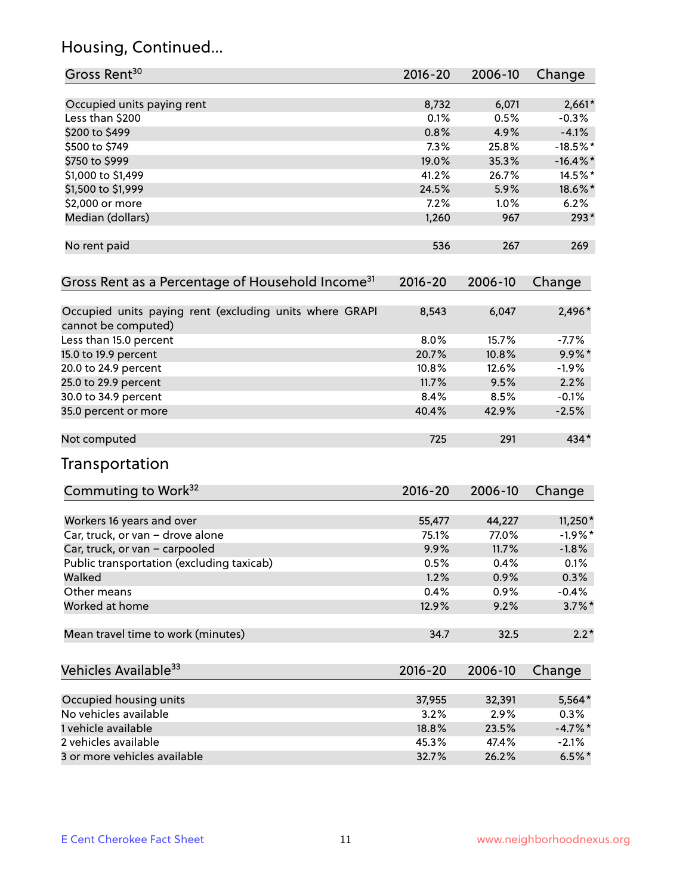## Housing, Continued...

| Gross Rent <sup>30</sup>                                                       | 2016-20     | 2006-10 | Change      |
|--------------------------------------------------------------------------------|-------------|---------|-------------|
| Occupied units paying rent                                                     | 8,732       | 6,071   | $2,661*$    |
| Less than \$200                                                                | 0.1%        | 0.5%    | $-0.3%$     |
| \$200 to \$499                                                                 | 0.8%        | 4.9%    | $-4.1%$     |
| \$500 to \$749                                                                 | 7.3%        | 25.8%   | $-18.5%$ *  |
| \$750 to \$999                                                                 | 19.0%       | 35.3%   | $-16.4\%$ * |
| \$1,000 to \$1,499                                                             | 41.2%       | 26.7%   | 14.5%*      |
| \$1,500 to \$1,999                                                             | 24.5%       | 5.9%    | 18.6%*      |
| \$2,000 or more                                                                | 7.2%        | 1.0%    | 6.2%        |
| Median (dollars)                                                               | 1,260       | 967     | $293*$      |
| No rent paid                                                                   | 536         | 267     | 269         |
| Gross Rent as a Percentage of Household Income <sup>31</sup>                   | $2016 - 20$ | 2006-10 | Change      |
| Occupied units paying rent (excluding units where GRAPI<br>cannot be computed) | 8,543       | 6,047   | 2,496*      |
| Less than 15.0 percent                                                         | 8.0%        | 15.7%   | $-7.7%$     |
| 15.0 to 19.9 percent                                                           | 20.7%       | 10.8%   | $9.9\%*$    |
| 20.0 to 24.9 percent                                                           | 10.8%       | 12.6%   | $-1.9%$     |
| 25.0 to 29.9 percent                                                           | 11.7%       | 9.5%    | 2.2%        |
| 30.0 to 34.9 percent                                                           | 8.4%        | 8.5%    | $-0.1%$     |
| 35.0 percent or more                                                           | 40.4%       | 42.9%   | $-2.5%$     |
| Not computed                                                                   | 725         | 291     | 434*        |
| Transportation                                                                 |             |         |             |
| Commuting to Work <sup>32</sup>                                                | 2016-20     | 2006-10 | Change      |
| Workers 16 years and over                                                      | 55,477      | 44,227  | $11,250*$   |
| Car, truck, or van - drove alone                                               | 75.1%       | 77.0%   | $-1.9%$ *   |
| Car, truck, or van - carpooled                                                 | 9.9%        | 11.7%   | $-1.8%$     |
| Public transportation (excluding taxicab)                                      | 0.5%        | 0.4%    | 0.1%        |
| Walked                                                                         | 1.2%        | 0.9%    | 0.3%        |
| Other means                                                                    | 0.4%        | 0.9%    | $-0.4%$     |
| Worked at home                                                                 | 12.9%       | 9.2%    | $3.7\%$ *   |
| Mean travel time to work (minutes)                                             | 34.7        | 32.5    | $2.2*$      |
| Vehicles Available <sup>33</sup>                                               | $2016 - 20$ | 2006-10 | Change      |
| Occupied housing units                                                         | 37,955      | 32,391  | 5,564*      |
| No vehicles available                                                          | 3.2%        | 2.9%    | 0.3%        |
| 1 vehicle available                                                            | 18.8%       | 23.5%   | $-4.7\%$ *  |
| 2 vehicles available                                                           | 45.3%       | 47.4%   | $-2.1%$     |
| 3 or more vehicles available                                                   | 32.7%       | 26.2%   | $6.5%$ *    |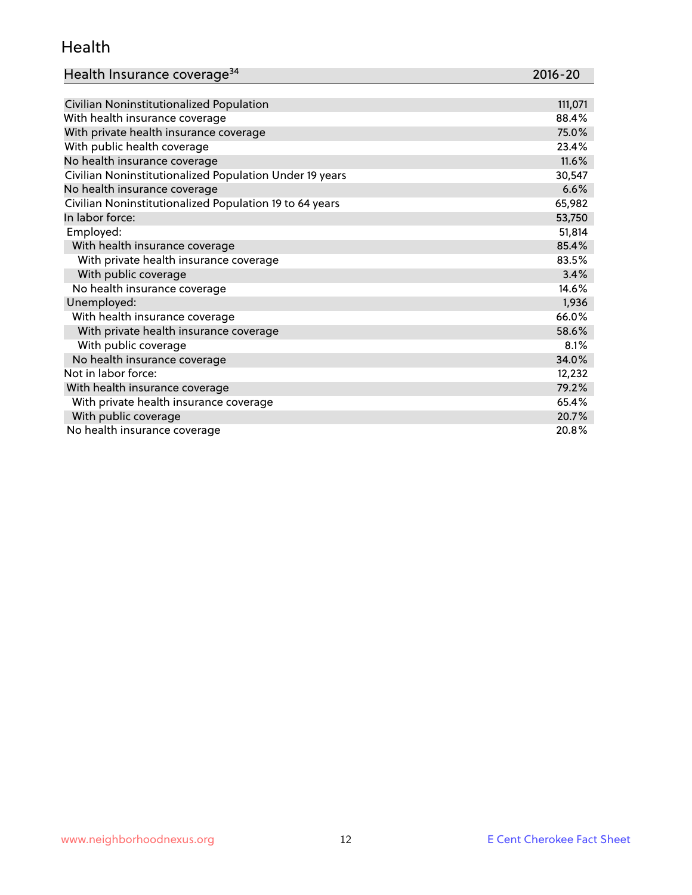#### Health

| Health Insurance coverage <sup>34</sup> | 2016-20 |
|-----------------------------------------|---------|
|-----------------------------------------|---------|

| Civilian Noninstitutionalized Population                | 111,071 |
|---------------------------------------------------------|---------|
| With health insurance coverage                          | 88.4%   |
| With private health insurance coverage                  | 75.0%   |
| With public health coverage                             | 23.4%   |
| No health insurance coverage                            | 11.6%   |
| Civilian Noninstitutionalized Population Under 19 years | 30,547  |
| No health insurance coverage                            | 6.6%    |
| Civilian Noninstitutionalized Population 19 to 64 years | 65,982  |
| In labor force:                                         | 53,750  |
| Employed:                                               | 51,814  |
| With health insurance coverage                          | 85.4%   |
| With private health insurance coverage                  | 83.5%   |
| With public coverage                                    | 3.4%    |
| No health insurance coverage                            | 14.6%   |
| Unemployed:                                             | 1,936   |
| With health insurance coverage                          | 66.0%   |
| With private health insurance coverage                  | 58.6%   |
| With public coverage                                    | 8.1%    |
| No health insurance coverage                            | 34.0%   |
| Not in labor force:                                     | 12,232  |
| With health insurance coverage                          | 79.2%   |
| With private health insurance coverage                  | 65.4%   |
| With public coverage                                    | 20.7%   |
| No health insurance coverage                            | 20.8%   |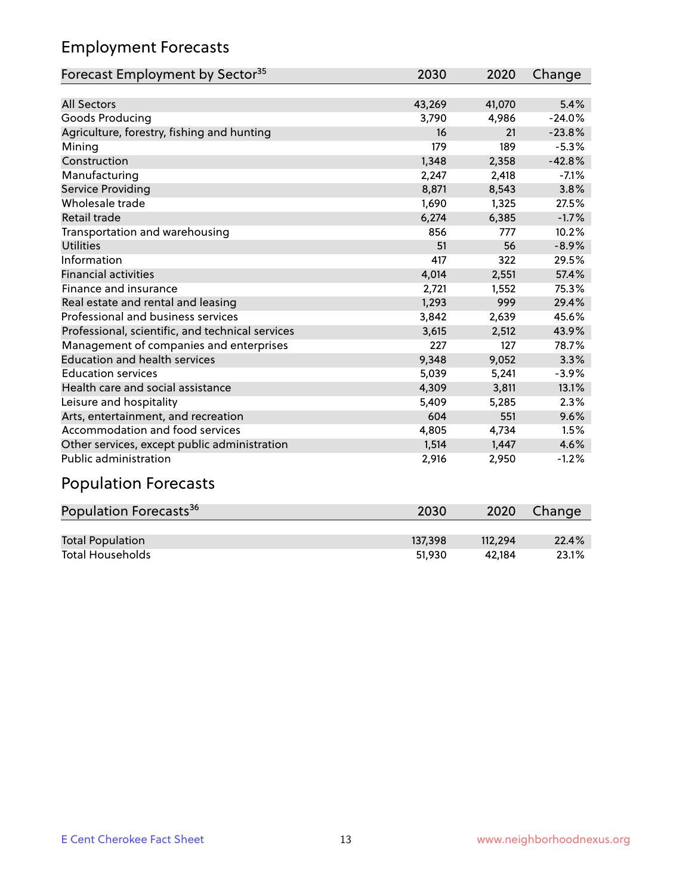## Employment Forecasts

| Forecast Employment by Sector <sup>35</sup>      | 2030   | 2020   | Change   |
|--------------------------------------------------|--------|--------|----------|
|                                                  |        |        |          |
| <b>All Sectors</b>                               | 43,269 | 41,070 | 5.4%     |
| Goods Producing                                  | 3,790  | 4,986  | $-24.0%$ |
| Agriculture, forestry, fishing and hunting       | 16     | 21     | $-23.8%$ |
| Mining                                           | 179    | 189    | $-5.3%$  |
| Construction                                     | 1,348  | 2,358  | $-42.8%$ |
| Manufacturing                                    | 2,247  | 2,418  | $-7.1%$  |
| Service Providing                                | 8,871  | 8,543  | 3.8%     |
| Wholesale trade                                  | 1,690  | 1,325  | 27.5%    |
| Retail trade                                     | 6,274  | 6,385  | $-1.7%$  |
| Transportation and warehousing                   | 856    | 777    | 10.2%    |
| <b>Utilities</b>                                 | 51     | 56     | $-8.9%$  |
| Information                                      | 417    | 322    | 29.5%    |
| <b>Financial activities</b>                      | 4,014  | 2,551  | 57.4%    |
| Finance and insurance                            | 2,721  | 1,552  | 75.3%    |
| Real estate and rental and leasing               | 1,293  | 999    | 29.4%    |
| Professional and business services               | 3,842  | 2,639  | 45.6%    |
| Professional, scientific, and technical services | 3,615  | 2,512  | 43.9%    |
| Management of companies and enterprises          | 227    | 127    | 78.7%    |
| <b>Education and health services</b>             | 9,348  | 9,052  | 3.3%     |
| <b>Education services</b>                        | 5,039  | 5,241  | $-3.9%$  |
| Health care and social assistance                | 4,309  | 3,811  | 13.1%    |
| Leisure and hospitality                          | 5,409  | 5,285  | 2.3%     |
| Arts, entertainment, and recreation              | 604    | 551    | 9.6%     |
| Accommodation and food services                  | 4,805  | 4,734  | 1.5%     |
| Other services, except public administration     | 1,514  | 1,447  | 4.6%     |
| <b>Public administration</b>                     | 2,916  | 2,950  | $-1.2%$  |

# Population Forecasts

| Population Forecasts <sup>36</sup> | 2030    | 2020    | Change |
|------------------------------------|---------|---------|--------|
|                                    |         |         |        |
| <b>Total Population</b>            | 137.398 | 112.294 | 22.4%  |
| <b>Total Households</b>            | 51.930  | 42.184  | 23.1%  |